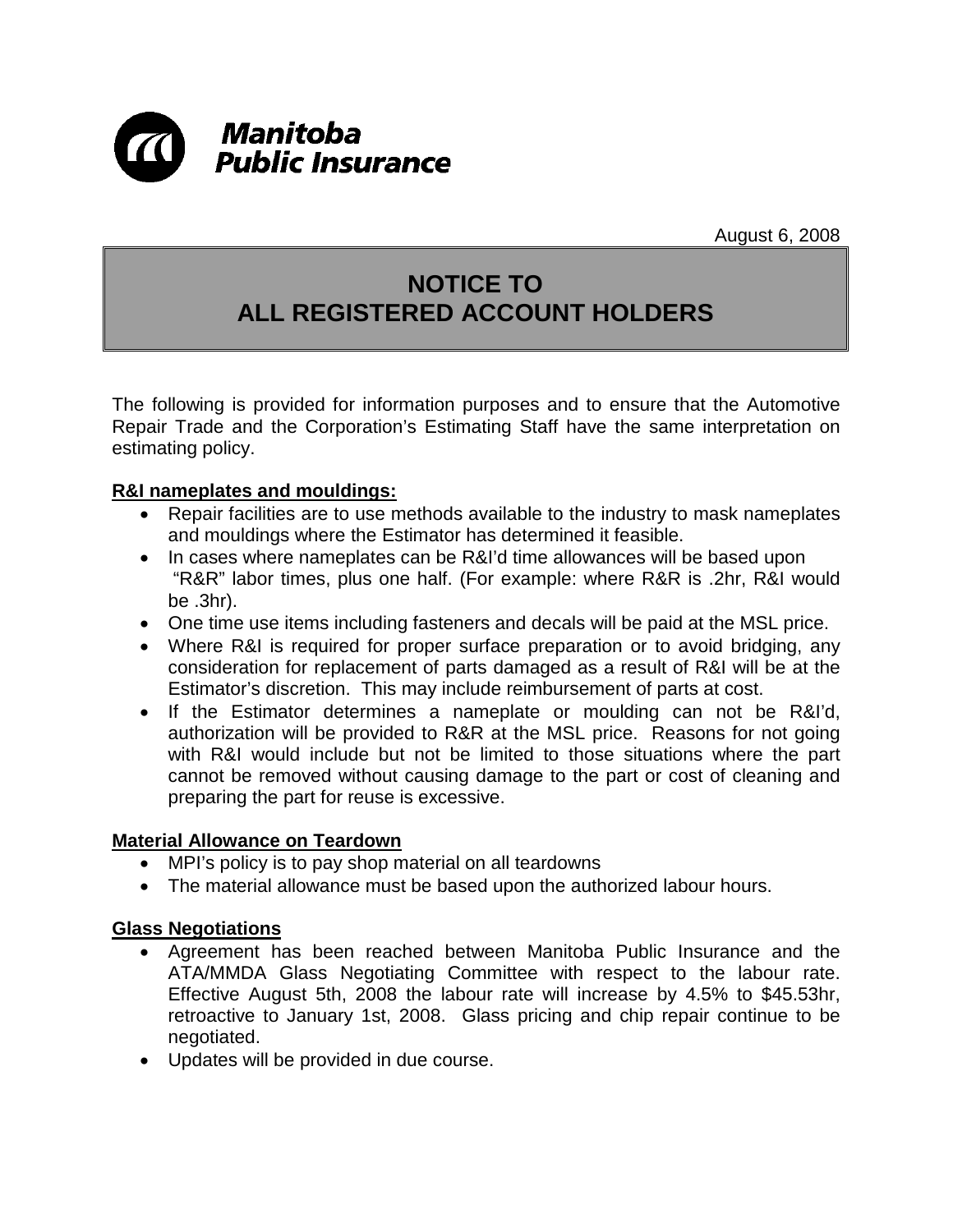

August 6, 2008

## **NOTICE TO ALL REGISTERED ACCOUNT HOLDERS**

The following is provided for information purposes and to ensure that the Automotive Repair Trade and the Corporation's Estimating Staff have the same interpretation on estimating policy.

## **R&I nameplates and mouldings:**

- Repair facilities are to use methods available to the industry to mask nameplates and mouldings where the Estimator has determined it feasible.
- In cases where nameplates can be R&I'd time allowances will be based upon "R&R" labor times, plus one half. (For example: where R&R is .2hr, R&I would be .3hr).
- One time use items including fasteners and decals will be paid at the MSL price.
- Where R&I is required for proper surface preparation or to avoid bridging, any consideration for replacement of parts damaged as a result of R&I will be at the Estimator's discretion. This may include reimbursement of parts at cost.
- If the Estimator determines a nameplate or moulding can not be R&I'd, authorization will be provided to R&R at the MSL price. Reasons for not going with R&I would include but not be limited to those situations where the part cannot be removed without causing damage to the part or cost of cleaning and preparing the part for reuse is excessive.

## **Material Allowance on Teardown**

- MPI's policy is to pay shop material on all teardowns
- The material allowance must be based upon the authorized labour hours.

## **Glass Negotiations**

- Agreement has been reached between Manitoba Public Insurance and the ATA/MMDA Glass Negotiating Committee with respect to the labour rate. Effective August 5th, 2008 the labour rate will increase by 4.5% to \$45.53hr, retroactive to January 1st, 2008. Glass pricing and chip repair continue to be negotiated.
- Updates will be provided in due course.